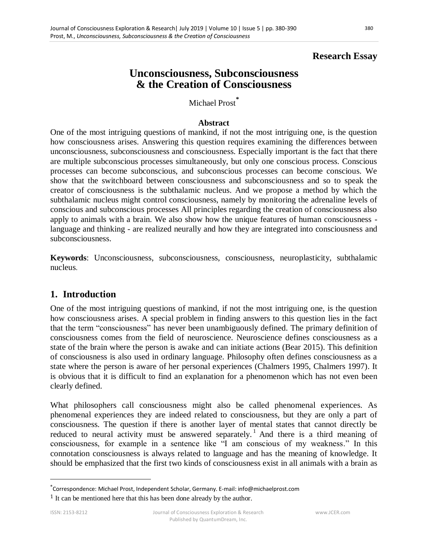### **Research Essay**

# **Unconsciousness, Subconsciousness & the Creation of Consciousness**

Michael Prost**\***

#### **Abstract**

One of the most intriguing questions of mankind, if not the most intriguing one, is the question how consciousness arises. Answering this question requires examining the differences between unconsciousness, subconsciousness and consciousness. Especially important is the fact that there are multiple subconscious processes simultaneously, but only one conscious process. Conscious processes can become subconscious, and subconscious processes can become conscious. We show that the switchboard between consciousness and subconsciousness and so to speak the creator of consciousness is the subthalamic nucleus. And we propose a method by which the subthalamic nucleus might control consciousness, namely by monitoring the adrenaline levels of conscious and subconscious processes All principles regarding the creation of consciousness also apply to animals with a brain. We also show how the unique features of human consciousness language and thinking - are realized neurally and how they are integrated into consciousness and subconsciousness.

**Keywords**: Unconsciousness, subconsciousness, consciousness, neuroplasticity, subthalamic nucleus.

#### **1. Introduction**

One of the most intriguing questions of mankind, if not the most intriguing one, is the question how consciousness arises. A special problem in finding answers to this question lies in the fact that the term "consciousness" has never been unambiguously defined. The primary definition of consciousness comes from the field of neuroscience. Neuroscience defines consciousness as a state of the brain where the person is awake and can initiate actions (Bear 2015). This definition of consciousness is also used in ordinary language. Philosophy often defines consciousness as a state where the person is aware of her personal experiences (Chalmers 1995, Chalmers 1997). It is obvious that it is difficult to find an explanation for a phenomenon which has not even been clearly defined.

What philosophers call consciousness might also be called phenomenal experiences. As phenomenal experiences they are indeed related to consciousness, but they are only a part of consciousness. The question if there is another layer of mental states that cannot directly be reduced to neural activity must be answered separately.<sup>1</sup> And there is a third meaning of consciousness, for example in a sentence like "I am conscious of my weakness." In this connotation consciousness is always related to language and has the meaning of knowledge. It should be emphasized that the first two kinds of consciousness exist in all animals with a brain as

<sup>\*</sup>Correspondence: Michael Prost, Independent Scholar, Germany. E-mail: info@michaelprost.com

<sup>&</sup>lt;sup>1</sup> It can be mentioned here that this has been done already by the author.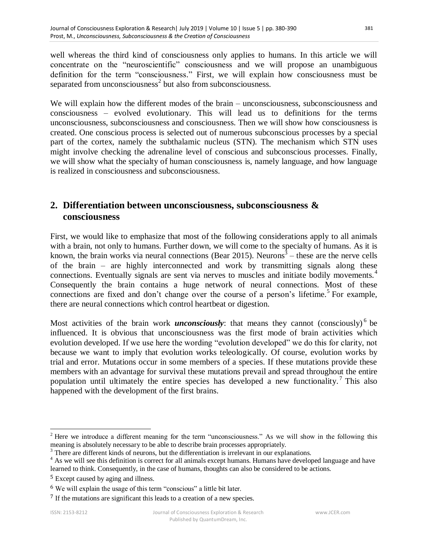well whereas the third kind of consciousness only applies to humans. In this article we will concentrate on the "neuroscientific" consciousness and we will propose an unambiguous definition for the term "consciousness." First, we will explain how consciousness must be separated from unconsciousness<sup>2</sup> but also from subconsciousness.

We will explain how the different modes of the brain – unconsciousness, subconsciousness and consciousness – evolved evolutionary. This will lead us to definitions for the terms unconsciousness, subconsciousness and consciousness. Then we will show how consciousness is created. One conscious process is selected out of numerous subconscious processes by a special part of the cortex, namely the subthalamic nucleus (STN). The mechanism which STN uses might involve checking the adrenaline level of conscious and subconscious processes. Finally, we will show what the specialty of human consciousness is, namely language, and how language is realized in consciousness and subconsciousness.

## **2. Differentiation between unconsciousness, subconsciousness & consciousness**

First, we would like to emphasize that most of the following considerations apply to all animals with a brain, not only to humans. Further down, we will come to the specialty of humans. As it is known, the brain works via neural connections (Bear 2015). Neurons<sup>3</sup> – these are the nerve cells of the brain – are highly interconnected and work by transmitting signals along these connections. Eventually signals are sent via nerves to muscles and initiate bodily movements.<sup>4</sup> Consequently the brain contains a huge network of neural connections. Most of these connections are fixed and don't change over the course of a person's lifetime.<sup>5</sup> For example, there are neural connections which control heartbeat or digestion.

Most activities of the brain work *unconsciously*: that means they cannot (consciously)<sup>6</sup> be influenced. It is obvious that unconsciousness was the first mode of brain activities which evolution developed. If we use here the wording "evolution developed" we do this for clarity, not because we want to imply that evolution works teleologically. Of course, evolution works by trial and error. Mutations occur in some members of a species. If these mutations provide these members with an advantage for survival these mutations prevail and spread throughout the entire population until ultimately the entire species has developed a new functionality.<sup>7</sup> This also happened with the development of the first brains.

<sup>&</sup>lt;sup>2</sup> Here we introduce a different meaning for the term "unconsciousness." As we will show in the following this meaning is absolutely necessary to be able to describe brain processes appropriately.

<sup>&</sup>lt;sup>3</sup> There are different kinds of neurons, but the differentiation is irrelevant in our explanations.

<sup>&</sup>lt;sup>4</sup> As we will see this definition is correct for all animals except humans. Humans have developed language and have learned to think. Consequently, in the case of humans, thoughts can also be considered to be actions.

<sup>5</sup> Except caused by aging and illness.

<sup>6</sup> We will explain the usage of this term "conscious" a little bit later.

<sup>7</sup> If the mutations are significant this leads to a creation of a new species.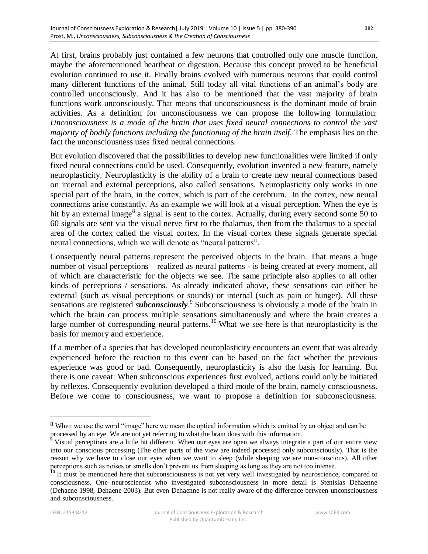At first, brains probably just contained a few neurons that controlled only one muscle function, maybe the aforementioned heartbeat or digestion. Because this concept proved to be beneficial evolution continued to use it. Finally brains evolved with numerous neurons that could control many different functions of the animal. Still today all vital functions of an animal's body are controlled unconsciously. And it has also to be mentioned that the vast majority of brain functions work unconsciously. That means that unconsciousness is the dominant mode of brain activities. As a definition for unconsciousness we can propose the following formulation: *Unconsciousness is a mode of the brain that uses fixed neural connections to control the vast majority of bodily functions including the functioning of the brain itself.* The emphasis lies on the fact the unconsciousness uses fixed neural connections.

But evolution discovered that the possibilities to develop new functionalities were limited if only fixed neural connections could be used. Consequently, evolution invented a new feature, namely neuroplasticity. Neuroplasticity is the ability of a brain to create new neural connections based on internal and external perceptions, also called sensations. Neuroplasticity only works in one special part of the brain, in the cortex, which is part of the cerebrum. In the cortex, new neural connections arise constantly. As an example we will look at a visual perception. When the eye is hit by an external image<sup>8</sup> a signal is sent to the cortex. Actually, during every second some 50 to 60 signals are sent via the visual nerve first to the thalamus, then from the thalamus to a special area of the cortex called the visual cortex. In the visual cortex these signals generate special neural connections, which we will denote as "neural patterns".

Consequently neural patterns represent the perceived objects in the brain. That means a huge number of visual perceptions – realized as neural patterns - is being created at every moment, all of which are characteristic for the objects we see. The same principle also applies to all other kinds of perceptions / sensations. As already indicated above, these sensations can either be external (such as visual perceptions or sounds) or internal (such as pain or hunger). All these sensations are registered *subconsciously*. 9 Subconsciousness is obviously a mode of the brain in which the brain can process multiple sensations simultaneously and where the brain creates a large number of corresponding neural patterns.<sup>10</sup> What we see here is that neuroplasticity is the basis for memory and experience.

If a member of a species that has developed neuroplasticity encounters an event that was already experienced before the reaction to this event can be based on the fact whether the previous experience was good or bad. Consequently, neuroplasticity is also the basis for learning. But there is one caveat: When subconscious experiences first evolved, actions could only be initiated by reflexes. Consequently evolution developed a third mode of the brain, namely consciousness. Before we come to consciousness, we want to propose a definition for subconsciousness.

<sup>8</sup> When we use the word "image" here we mean the optical information which is emitted by an object and can be processed by an eye. We are not yet referring to what the brain does with this information.

 $9$  Visual perceptions are a little bit different. When our eyes are open we always integrate a part of our entire view into our conscious processing (The other parts of the view are indeed processed only subconsciously). That is the reason why we have to close our eyes when we want to sleep (while sleeping we are non-conscious). All other perceptions such as noises or smells don't prevent us from sleeping as long as they are not too intense.

<sup>&</sup>lt;sup>10</sup> It must be mentioned here that subconsciousness is not yet very well investigated by neuroscience, compared to consciousness. One neuroscientist who investigated subconsciousness in more detail is Stenislas Dehaenne (Dehaene 1998, Dehaene 2003). But even Dehaenne is not really aware of the difference between unconsciousness and subconsciousness.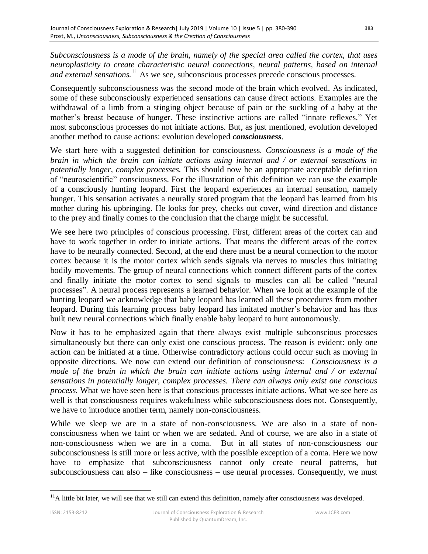*Subconsciousness is a mode of the brain, namely of the special area called the cortex, that uses neuroplasticity to create characteristic neural connections, neural patterns, based on internal and external sensations.*<sup>11</sup> As we see, subconscious processes precede conscious processes.

Consequently subconsciousness was the second mode of the brain which evolved. As indicated, some of these subconsciously experienced sensations can cause direct actions. Examples are the withdrawal of a limb from a stinging object because of pain or the suckling of a baby at the mother's breast because of hunger. These instinctive actions are called "innate reflexes." Yet most subconscious processes do not initiate actions. But, as just mentioned, evolution developed another method to cause actions: evolution developed *consciousness*.

We start here with a suggested definition for consciousness. *Consciousness is a mode of the brain in which the brain can initiate actions using internal and / or external sensations in potentially longer, complex processes.* This should now be an appropriate acceptable definition of "neuroscientific" consciousness. For the illustration of this definition we can use the example of a consciously hunting leopard. First the leopard experiences an internal sensation, namely hunger. This sensation activates a neurally stored program that the leopard has learned from his mother during his upbringing. He looks for prey, checks out cover, wind direction and distance to the prey and finally comes to the conclusion that the charge might be successful.

We see here two principles of conscious processing. First, different areas of the cortex can and have to work together in order to initiate actions. That means the different areas of the cortex have to be neurally connected. Second, at the end there must be a neural connection to the motor cortex because it is the motor cortex which sends signals via nerves to muscles thus initiating bodily movements. The group of neural connections which connect different parts of the cortex and finally initiate the motor cortex to send signals to muscles can all be called "neural processes". A neural process represents a learned behavior. When we look at the example of the hunting leopard we acknowledge that baby leopard has learned all these procedures from mother leopard. During this learning process baby leopard has imitated mother's behavior and has thus built new neural connections which finally enable baby leopard to hunt autonomously.

Now it has to be emphasized again that there always exist multiple subconscious processes simultaneously but there can only exist one conscious process. The reason is evident: only one action can be initiated at a time. Otherwise contradictory actions could occur such as moving in opposite directions. We now can extend our definition of consciousness: *Consciousness is a mode of the brain in which the brain can initiate actions using internal and / or external sensations in potentially longer, complex processes. There can always only exist one conscious process.* What we have seen here is that conscious processes initiate actions. What we see here as well is that consciousness requires wakefulness while subconsciousness does not. Consequently, we have to introduce another term, namely non-consciousness.

While we sleep we are in a state of non-consciousness. We are also in a state of nonconsciousness when we faint or when we are sedated. And of course, we are also in a state of non-consciousness when we are in a coma. But in all states of non-consciousness our subconsciousness is still more or less active, with the possible exception of a coma. Here we now have to emphasize that subconsciousness cannot only create neural patterns, but subconsciousness can also – like consciousness – use neural processes. Consequently, we must

 $11A$  little bit later, we will see that we still can extend this definition, namely after consciousness was developed.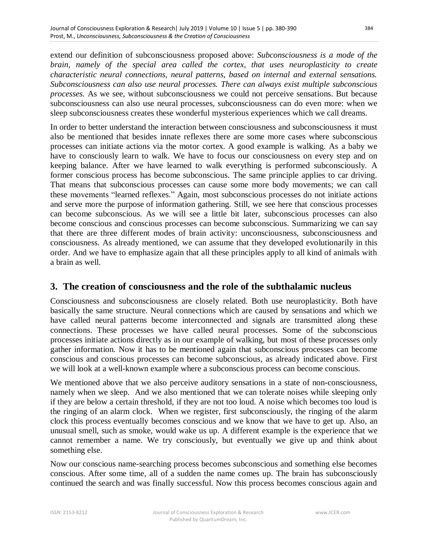extend our definition of subconsciousness proposed above: *Subconsciousness is a mode of the brain, namely of the special area called the cortex, that uses neuroplasticity to create characteristic neural connections, neural patterns, based on internal and external sensations. Subconsciousness can also use neural processes. There can always exist multiple subconscious processes.* As we see, without subconsciousness we could not perceive sensations. But because subconsciousness can also use neural processes, subconsciousness can do even more: when we sleep subconsciousness creates these wonderful mysterious experiences which we call dreams.

In order to better understand the interaction between consciousness and subconsciousness it must also be mentioned that besides innate reflexes there are some more cases where subconscious processes can initiate actions via the motor cortex. A good example is walking. As a baby we have to consciously learn to walk. We have to focus our consciousness on every step and on keeping balance. After we have learned to walk everything is performed subconsciously. A former conscious process has become subconscious. The same principle applies to car driving. That means that subconscious processes can cause some more body movements; we can call these movements "learned reflexes." Again, most subconscious processes do not initiate actions and serve more the purpose of information gathering. Still, we see here that conscious processes can become subconscious. As we will see a little bit later, subconscious processes can also become conscious and conscious processes can become subconscious. Summarizing we can say that there are three different modes of brain activity: unconsciousness, subconsciousness and consciousness. As already mentioned, we can assume that they developed evolutionarily in this order. And we have to emphasize again that all these principles apply to all kind of animals with a brain as well.

#### **3. The creation of consciousness and the role of the subthalamic nucleus**

Consciousness and subconsciousness are closely related. Both use neuroplasticity. Both have basically the same structure. Neural connections which are caused by sensations and which we have called neural patterns become interconnected and signals are transmitted along these connections. These processes we have called neural processes. Some of the subconscious processes initiate actions directly as in our example of walking, but most of these processes only gather information. Now it has to be mentioned again that subconscious processes can become conscious and conscious processes can become subconscious, as already indicated above. First we will look at a well-known example where a subconscious process can become conscious.

We mentioned above that we also perceive auditory sensations in a state of non-consciousness, namely when we sleep. And we also mentioned that we can tolerate noises while sleeping only if they are below a certain threshold, if they are not too loud. A noise which becomes too loud is the ringing of an alarm clock. When we register, first subconsciously, the ringing of the alarm clock this process eventually becomes conscious and we know that we have to get up. Also, an unusual smell, such as smoke, would wake us up. A different example is the experience that we cannot remember a name. We try consciously, but eventually we give up and think about something else.

Now our conscious name-searching process becomes subconscious and something else becomes conscious. After some time, all of a sudden the name comes up. The brain has subconsciously continued the search and was finally successful. Now this process becomes conscious again and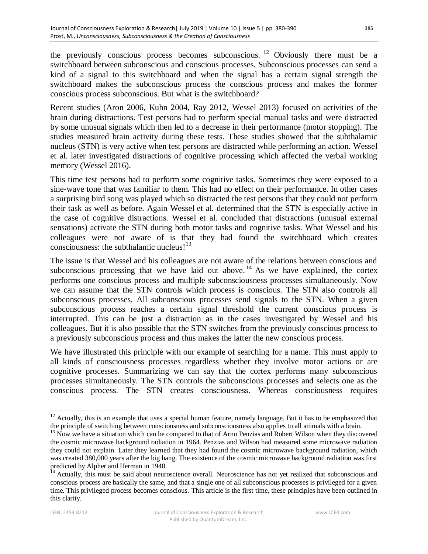the previously conscious process becomes subconscious. <sup>12</sup> Obviously there must be a switchboard between subconscious and conscious processes. Subconscious processes can send a kind of a signal to this switchboard and when the signal has a certain signal strength the switchboard makes the subconscious process the conscious process and makes the former conscious process subconscious. But what is the switchboard?

Recent studies (Aron 2006, Kuhn 2004, Ray 2012, Wessel 2013) focused on activities of the brain during distractions. Test persons had to perform special manual tasks and were distracted by some unusual signals which then led to a decrease in their performance (motor stopping). The studies measured brain activity during these tests. These studies showed that the subthalamic nucleus (STN) is very active when test persons are distracted while performing an action. Wessel et al. later investigated distractions of cognitive processing which affected the verbal working memory (Wessel 2016).

This time test persons had to perform some cognitive tasks. Sometimes they were exposed to a sine-wave tone that was familiar to them. This had no effect on their performance. In other cases a surprising bird song was played which so distracted the test persons that they could not perform their task as well as before. Again Wessel et al. determined that the STN is especially active in the case of cognitive distractions. Wessel et al. concluded that distractions (unusual external sensations) activate the STN during both motor tasks and cognitive tasks. What Wessel and his colleagues were not aware of is that they had found the switchboard which creates consciousness: the subthalamic nucleus! $13$ 

The issue is that Wessel and his colleagues are not aware of the relations between conscious and subconscious processing that we have laid out above.<sup>14</sup> As we have explained, the cortex performs one conscious process and multiple subconsciousness processes simultaneously. Now we can assume that the STN controls which process is conscious. The STN also controls all subconscious processes. All subconscious processes send signals to the STN. When a given subconscious process reaches a certain signal threshold the current conscious process is interrupted. This can be just a distraction as in the cases investigated by Wessel and his colleagues. But it is also possible that the STN switches from the previously conscious process to a previously subconscious process and thus makes the latter the new conscious process.

We have illustrated this principle with our example of searching for a name. This must apply to all kinds of consciousness processes regardless whether they involve motor actions or are cognitive processes. Summarizing we can say that the cortex performs many subconscious processes simultaneously. The STN controls the subconscious processes and selects one as the conscious process. The STN creates consciousness. Whereas consciousness requires

<sup>&</sup>lt;sup>12</sup> Actually, this is an example that uses a special human feature, namely language. But it has to be emphasized that the principle of switching between consciousness and subconsciousness also applies to all animals with a brain.

<sup>&</sup>lt;sup>13</sup> Now we have a situation which can be compared to that of Arno Penzias and Robert Wilson when they discovered the cosmic microwave background radiation in 1964. Penzias and Wilson had measured some microwave radiation they could not explain. Later they learned that they had found the cosmic microwave background radiation, which was created 380,000 years after the big bang. The existence of the cosmic microwave background radiation was first predicted by Alpher and Herman in 1948.

<sup>&</sup>lt;sup>14</sup> Actually, this must be said about neuroscience overall. Neuroscience has not yet realized that subconscious and conscious process are basically the same, and that a single one of all subconscious processes is privileged for a given time. This privileged process becomes conscious. This article is the first time, these principles have been outlined in this clarity.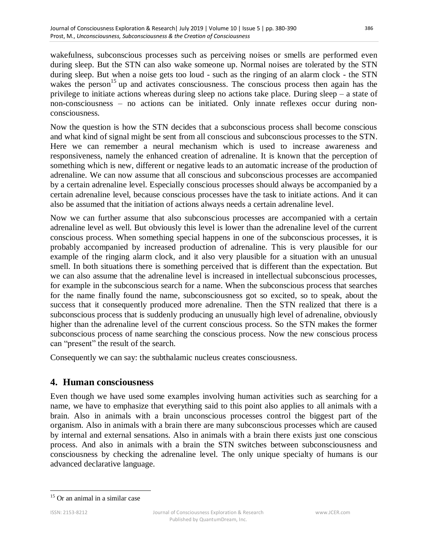wakefulness, subconscious processes such as perceiving noises or smells are performed even during sleep. But the STN can also wake someone up. Normal noises are tolerated by the STN during sleep. But when a noise gets too loud - such as the ringing of an alarm clock - the STN wakes the person<sup>15</sup> up and activates consciousness. The conscious process then again has the privilege to initiate actions whereas during sleep no actions take place. During sleep – a state of non-consciousness – no actions can be initiated. Only innate reflexes occur during nonconsciousness.

Now the question is how the STN decides that a subconscious process shall become conscious and what kind of signal might be sent from all conscious and subconscious processes to the STN. Here we can remember a neural mechanism which is used to increase awareness and responsiveness, namely the enhanced creation of adrenaline. It is known that the perception of something which is new, different or negative leads to an automatic increase of the production of adrenaline. We can now assume that all conscious and subconscious processes are accompanied by a certain adrenaline level. Especially conscious processes should always be accompanied by a certain adrenaline level, because conscious processes have the task to initiate actions. And it can also be assumed that the initiation of actions always needs a certain adrenaline level.

Now we can further assume that also subconscious processes are accompanied with a certain adrenaline level as well. But obviously this level is lower than the adrenaline level of the current conscious process. When something special happens in one of the subconscious processes, it is probably accompanied by increased production of adrenaline. This is very plausible for our example of the ringing alarm clock, and it also very plausible for a situation with an unusual smell. In both situations there is something perceived that is different than the expectation. But we can also assume that the adrenaline level is increased in intellectual subconscious processes, for example in the subconscious search for a name. When the subconscious process that searches for the name finally found the name, subconsciousness got so excited, so to speak, about the success that it consequently produced more adrenaline. Then the STN realized that there is a subconscious process that is suddenly producing an unusually high level of adrenaline, obviously higher than the adrenaline level of the current conscious process. So the STN makes the former subconscious process of name searching the conscious process. Now the new conscious process can "present" the result of the search.

Consequently we can say: the subthalamic nucleus creates consciousness.

### **4. Human consciousness**

Even though we have used some examples involving human activities such as searching for a name, we have to emphasize that everything said to this point also applies to all animals with a brain. Also in animals with a brain unconscious processes control the biggest part of the organism. Also in animals with a brain there are many subconscious processes which are caused by internal and external sensations. Also in animals with a brain there exists just one conscious process. And also in animals with a brain the STN switches between subconsciousness and consciousness by checking the adrenaline level. The only unique specialty of humans is our advanced declarative language.

<sup>&</sup>lt;sup>15</sup> Or an animal in a similar case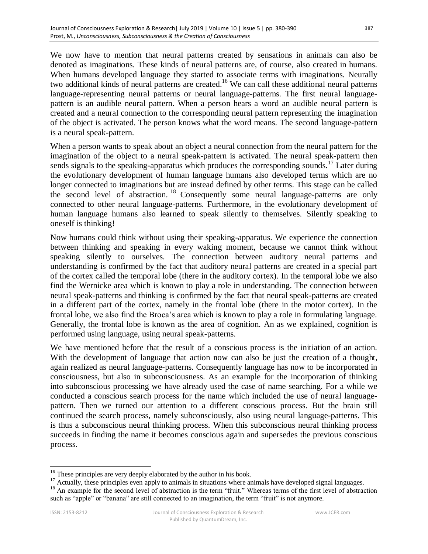created and a neural connection to the corresponding neural pattern representing the imagination of the object is activated. The person knows what the word means. The second language-pattern is a neural speak-pattern.

When a person wants to speak about an object a neural connection from the neural pattern for the imagination of the object to a neural speak-pattern is activated. The neural speak-pattern then sends signals to the speaking-apparatus which produces the corresponding sounds.<sup>17</sup> Later during the evolutionary development of human language humans also developed terms which are no longer connected to imaginations but are instead defined by other terms. This stage can be called the second level of abstraction. <sup>18</sup> Consequently some neural language-patterns are only connected to other neural language-patterns. Furthermore, in the evolutionary development of human language humans also learned to speak silently to themselves. Silently speaking to oneself is thinking!

Now humans could think without using their speaking-apparatus. We experience the connection between thinking and speaking in every waking moment, because we cannot think without speaking silently to ourselves. The connection between auditory neural patterns and understanding is confirmed by the fact that auditory neural patterns are created in a special part of the cortex called the temporal lobe (there in the auditory cortex). In the temporal lobe we also find the Wernicke area which is known to play a role in understanding. The connection between neural speak-patterns and thinking is confirmed by the fact that neural speak-patterns are created in a different part of the cortex, namely in the frontal lobe (there in the motor cortex). In the frontal lobe, we also find the Broca's area which is known to play a role in formulating language. Generally, the frontal lobe is known as the area of cognition. An as we explained, cognition is performed using language, using neural speak-patterns.

We have mentioned before that the result of a conscious process is the initiation of an action. With the development of language that action now can also be just the creation of a thought, again realized as neural language-patterns. Consequently language has now to be incorporated in consciousness, but also in subconsciousness. As an example for the incorporation of thinking into subconscious processing we have already used the case of name searching. For a while we conducted a conscious search process for the name which included the use of neural languagepattern. Then we turned our attention to a different conscious process. But the brain still continued the search process, namely subconsciously, also using neural language-patterns. This is thus a subconscious neural thinking process. When this subconscious neural thinking process succeeds in finding the name it becomes conscious again and supersedes the previous conscious process.

 $16$ <sup>16</sup> These principles are very deeply elaborated by the author in his book.

<sup>&</sup>lt;sup>17</sup> Actually, these principles even apply to animals in situations where animals have developed signal languages.

<sup>&</sup>lt;sup>18</sup> An example for the second level of abstraction is the term "fruit." Whereas terms of the first level of abstraction such as "apple" or "banana" are still connected to an imagination, the term "fruit" is not anymore.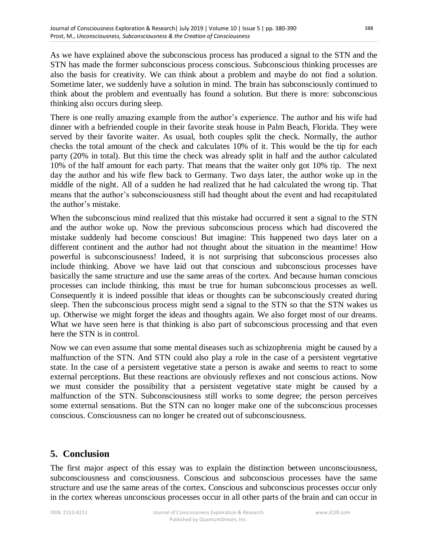thinking also occurs during sleep.

As we have explained above the subconscious process has produced a signal to the STN and the STN has made the former subconscious process conscious. Subconscious thinking processes are also the basis for creativity. We can think about a problem and maybe do not find a solution. Sometime later, we suddenly have a solution in mind. The brain has subconsciously continued to think about the problem and eventually has found a solution. But there is more: subconscious

There is one really amazing example from the author's experience. The author and his wife had dinner with a befriended couple in their favorite steak house in Palm Beach, Florida. They were served by their favorite waiter. As usual, both couples split the check. Normally, the author checks the total amount of the check and calculates 10% of it. This would be the tip for each party (20% in total). But this time the check was already split in half and the author calculated 10% of the half amount for each party. That means that the waiter only got 10% tip. The next day the author and his wife flew back to Germany. Two days later, the author woke up in the middle of the night. All of a sudden he had realized that he had calculated the wrong tip. That means that the author's subconsciousness still had thought about the event and had recapitulated the author's mistake.

When the subconscious mind realized that this mistake had occurred it sent a signal to the STN and the author woke up. Now the previous subconscious process which had discovered the mistake suddenly had become conscious! But imagine: This happened two days later on a different continent and the author had not thought about the situation in the meantime! How powerful is subconsciousness! Indeed, it is not surprising that subconscious processes also include thinking. Above we have laid out that conscious and subconscious processes have basically the same structure and use the same areas of the cortex. And because human conscious processes can include thinking, this must be true for human subconscious processes as well. Consequently it is indeed possible that ideas or thoughts can be subconsciously created during sleep. Then the subconscious process might send a signal to the STN so that the STN wakes us up. Otherwise we might forget the ideas and thoughts again. We also forget most of our dreams. What we have seen here is that thinking is also part of subconscious processing and that even here the STN is in control.

Now we can even assume that some mental diseases such as schizophrenia might be caused by a malfunction of the STN. And STN could also play a role in the case of a [persistent](https://www.dict.cc/englisch-deutsch/persistent.html) [vegetative](https://www.dict.cc/englisch-deutsch/vegetative.html) [state.](https://www.dict.cc/englisch-deutsch/state.html) In the case of a [persistent](https://www.dict.cc/englisch-deutsch/persistent.html) [vegetative](https://www.dict.cc/englisch-deutsch/vegetative.html) [state](https://www.dict.cc/englisch-deutsch/state.html) a person is awake and seems to react to some external perceptions. But these reactions are obviously reflexes and not conscious actions. Now we must consider the possibility that a persistent [vegetative](https://www.dict.cc/englisch-deutsch/vegetative.html) [state](https://www.dict.cc/englisch-deutsch/state.html) might be caused by a malfunction of the STN. Subconsciousness still works to some degree; the person perceives some external sensations. But the STN can no longer make one of the subconscious processes conscious. Consciousness can no longer be created out of subconsciousness.

### **5. Conclusion**

The first major aspect of this essay was to explain the distinction between unconsciousness, subconsciousness and consciousness. Conscious and subconscious processes have the same structure and use the same areas of the cortex. Conscious and subconscious processes occur only in the cortex whereas unconscious processes occur in all other parts of the brain and can occur in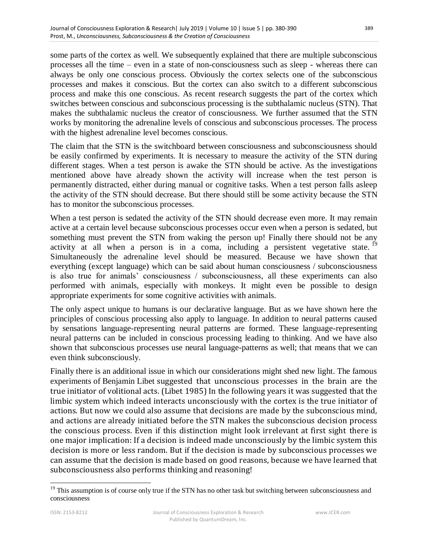some parts of the cortex as well. We subsequently explained that there are multiple subconscious processes all the time – even in a state of non-consciousness such as sleep - whereas there can always be only one conscious process. Obviously the cortex selects one of the subconscious processes and makes it conscious. But the cortex can also switch to a different subconscious process and make this one conscious. As recent research suggests the part of the cortex which switches between conscious and subconscious processing is the subthalamic nucleus (STN). That makes the subthalamic nucleus the creator of consciousness. We further assumed that the STN works by monitoring the adrenaline levels of conscious and subconscious processes. The process with the highest adrenaline level becomes conscious.

The claim that the STN is the switchboard between consciousness and subconsciousness should be easily confirmed by experiments. It is necessary to measure the activity of the STN during different stages. When a test person is awake the STN should be active. As the investigations mentioned above have already shown the activity will increase when the test person is permanently distracted, either during manual or cognitive tasks. When a test person falls asleep the activity of the STN should decrease. But there should still be some activity because the STN has to monitor the subconscious processes.

When a test person is sedated the activity of the STN should decrease even more. It may remain active at a certain level because subconscious processes occur even when a person is sedated, but something must prevent the STN from waking the person up! Finally there should not be any activity at all when a person is in a coma, including a persistent [vegetative](https://www.dict.cc/englisch-deutsch/vegetative.html) [state.](https://www.dict.cc/englisch-deutsch/state.html)<sup>19</sup> Simultaneously the adrenaline level should be measured. Because we have shown that everything (except language) which can be said about human consciousness / subconsciousness is also true for animals' consciousness / subconsciousness, all these experiments can also performed with animals, especially with monkeys. It might even be possible to design appropriate experiments for some cognitive activities with animals.

The only aspect unique to humans is our declarative language. But as we have shown here the principles of conscious processing also apply to language. In addition to neural patterns caused by sensations language-representing neural patterns are formed. These language-representing neural patterns can be included in conscious processing leading to thinking. And we have also shown that subconscious processes use neural language-patterns as well; that means that we can even think subconsciously.

Finally there is an additional issue in which our considerations might shed new light. The famous experiments of Benjamin Libet suggested that unconscious processes in the brain are the true initiator of volitional acts. (Libet 1985) In the following years it was suggested that the limbic system which indeed interacts unconsciously with the cortex is the true initiator of actions. But now we could also assume that decisions are made by the subconscious mind, and actions are already initiated before the STN makes the subconscious decision process the conscious process. Even if this distinction might look irrelevant at first sight there is one major implication: If a decision is indeed made unconsciously by the limbic system this decision is more or less random. But if the decision is made by subconscious processes we can assume that the decision is made based on good reasons, because we have learned that subconsciousness also performs thinking and reasoning!

 $19$  This assumption is of course only true if the STN has no other task but switching between subconsciousness and consciousness